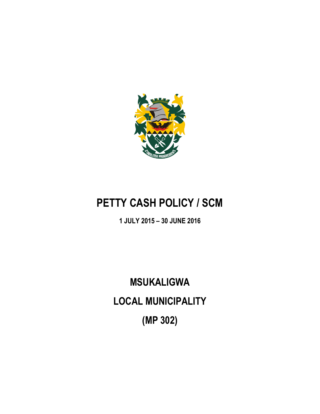

## **PETTY CASH POLICY / SCM**

## **1 JULY 2015 – 30 JUNE 2016**

# **MSUKALIGWA LOCAL MUNICIPALITY (MP 302)**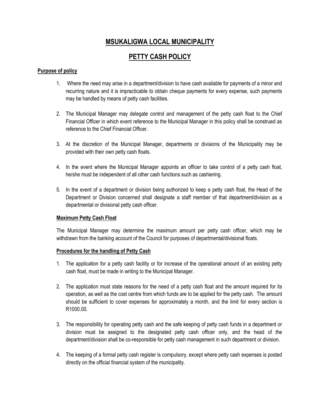### **MSUKALIGWA LOCAL MUNICIPALITY**

## **PETTY CASH POLICY**

#### **Purpose of policy**

- 1. Where the need may arise in a department/division to have cash available for payments of a minor and recurring nature and it is impracticable to obtain cheque payments for every expense, such payments may be handled by means of petty cash facilities.
- 2. The Municipal Manager may delegate control and management of the petty cash float to the Chief Financial Officer in which event reference to the Municipal Manager in this policy shall be construed as reference to the Chief Financial Officer.
- 3. At the discretion of the Municipal Manager, departments or divisions of the Municipality may be provided with their own petty cash floats.
- 4. In the event where the Municipal Manager appoints an officer to take control of a petty cash float, he/she must be independent of all other cash functions such as cashiering.
- 5. In the event of a department or division being authorized to keep a petty cash float, the Head of the Department or Division concerned shall designate a staff member of that department/division as a departmental or divisional petty cash officer.

#### **Maximum Petty Cash Float**

The Municipal Manager may determine the maximum amount per petty cash officer, which may be withdrawn from the banking account of the Council for purposes of departmental/divisional floats.

#### **Procedures for the handling of Petty Cash**

- 1. The application for a petty cash facility or for increase of the operational amount of an existing petty cash float, must be made in writing to the Municipal Manager.
- 2. The application must state reasons for the need of a petty cash float and the amount required for its operation, as well as the cost centre from which funds are to be applied for the petty cash. The amount should be sufficient to cover expenses for approximately a month, and the limit for every section is R1000.00.
- 3. The responsibility for operating petty cash and the safe keeping of petty cash funds in a department or division must be assigned to the designated petty cash officer only, and the head of the department/division shall be co-responsible for petty cash management in such department or division.
- 4. The keeping of a formal petty cash register is compulsory, except where petty cash expenses is posted directly on the official financial system of the municipality.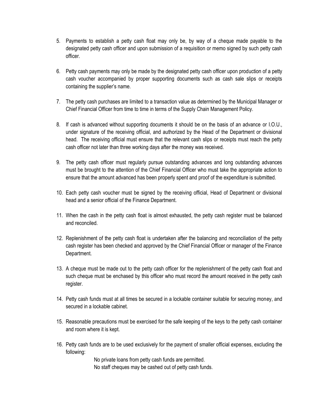- 5. Payments to establish a petty cash float may only be, by way of a cheque made payable to the designated petty cash officer and upon submission of a requisition or memo signed by such petty cash officer.
- 6. Petty cash payments may only be made by the designated petty cash officer upon production of a petty cash voucher accompanied by proper supporting documents such as cash sale slips or receipts containing the supplier's name.
- 7. The petty cash purchases are limited to a transaction value as determined by the Municipal Manager or Chief Financial Officer from time to time in terms of the Supply Chain Management Policy.
- 8. If cash is advanced without supporting documents it should be on the basis of an advance or I.O.U., under signature of the receiving official, and authorized by the Head of the Department or divisional head. The receiving official must ensure that the relevant cash slips or receipts must reach the petty cash officer not later than three working days after the money was received.
- 9. The petty cash officer must regularly pursue outstanding advances and long outstanding advances must be brought to the attention of the Chief Financial Officer who must take the appropriate action to ensure that the amount advanced has been properly spent and proof of the expenditure is submitted.
- 10. Each petty cash voucher must be signed by the receiving official, Head of Department or divisional head and a senior official of the Finance Department.
- 11. When the cash in the petty cash float is almost exhausted, the petty cash register must be balanced and reconciled.
- 12. Replenishment of the petty cash float is undertaken after the balancing and reconciliation of the petty cash register has been checked and approved by the Chief Financial Officer or manager of the Finance Department.
- 13. A cheque must be made out to the petty cash officer for the replenishment of the petty cash float and such cheque must be enchased by this officer who must record the amount received in the petty cash register.
- 14. Petty cash funds must at all times be secured in a lockable container suitable for securing money, and secured in a lockable cabinet.
- 15. Reasonable precautions must be exercised for the safe keeping of the keys to the petty cash container and room where it is kept.
- 16. Petty cash funds are to be used exclusively for the payment of smaller official expenses, excluding the following:

No private loans from petty cash funds are permitted.

No staff cheques may be cashed out of petty cash funds.